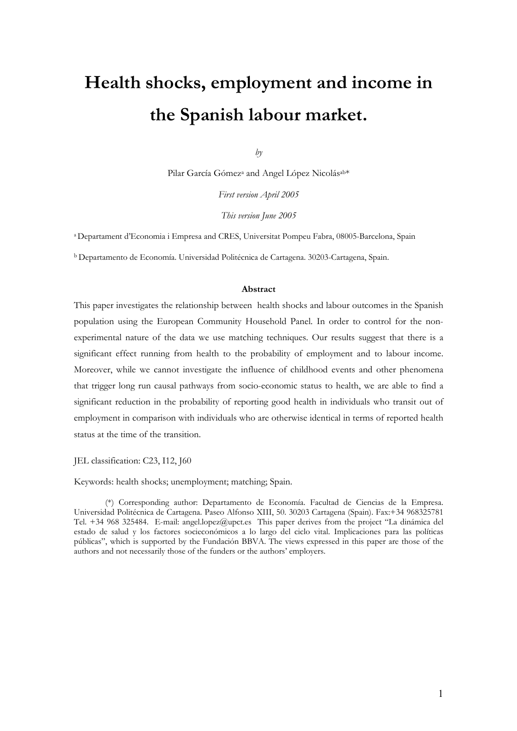# **Health shocks, employment and income in the Spanish labour market.**

*by* 

Pilar García Gómez<sup>a</sup> and Angel López Nicolás<sup>ab\*</sup>

*First version April 2005* 

*This version June 2005* 

a Departament d'Economia i Empresa and CRES, Universitat Pompeu Fabra, 08005-Barcelona, Spain

b Departamento de Economía. Universidad Politécnica de Cartagena. 30203-Cartagena, Spain.

#### **Abstract**

This paper investigates the relationship between health shocks and labour outcomes in the Spanish population using the European Community Household Panel. In order to control for the nonexperimental nature of the data we use matching techniques. Our results suggest that there is a significant effect running from health to the probability of employment and to labour income. Moreover, while we cannot investigate the influence of childhood events and other phenomena that trigger long run causal pathways from socio-economic status to health, we are able to find a significant reduction in the probability of reporting good health in individuals who transit out of employment in comparison with individuals who are otherwise identical in terms of reported health status at the time of the transition.

JEL classification: C23, I12, J60

Keywords: health shocks; unemployment; matching; Spain.

(\*) Corresponding author: Departamento de Economía. Facultad de Ciencias de la Empresa. Universidad Politécnica de Cartagena. Paseo Alfonso XIII, 50. 30203 Cartagena (Spain). Fax:+34 968325781 Tel. +34 968 325484. E-mail: angel.lopez@upct.es This paper derives from the project "La dinámica del estado de salud y los factores socieconómicos a lo largo del ciclo vital. Implicaciones para las políticas públicas", which is supported by the Fundación BBVA. The views expressed in this paper are those of the authors and not necessarily those of the funders or the authors' employers.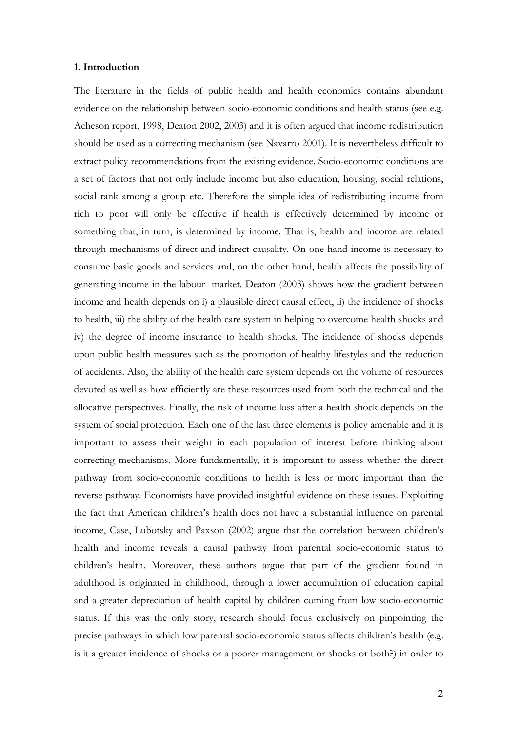#### **1. Introduction**

The literature in the fields of public health and health economics contains abundant evidence on the relationship between socio-economic conditions and health status (see e.g. Acheson report, 1998, Deaton 2002, 2003) and it is often argued that income redistribution should be used as a correcting mechanism (see Navarro 2001). It is nevertheless difficult to extract policy recommendations from the existing evidence. Socio-economic conditions are a set of factors that not only include income but also education, housing, social relations, social rank among a group etc. Therefore the simple idea of redistributing income from rich to poor will only be effective if health is effectively determined by income or something that, in turn, is determined by income. That is, health and income are related through mechanisms of direct and indirect causality. On one hand income is necessary to consume basic goods and services and, on the other hand, health affects the possibility of generating income in the labour market. Deaton (2003) shows how the gradient between income and health depends on i) a plausible direct causal effect, ii) the incidence of shocks to health, iii) the ability of the health care system in helping to overcome health shocks and iv) the degree of income insurance to health shocks. The incidence of shocks depends upon public health measures such as the promotion of healthy lifestyles and the reduction of accidents. Also, the ability of the health care system depends on the volume of resources devoted as well as how efficiently are these resources used from both the technical and the allocative perspectives. Finally, the risk of income loss after a health shock depends on the system of social protection. Each one of the last three elements is policy amenable and it is important to assess their weight in each population of interest before thinking about correcting mechanisms. More fundamentally, it is important to assess whether the direct pathway from socio-economic conditions to health is less or more important than the reverse pathway. Economists have provided insightful evidence on these issues. Exploiting the fact that American children's health does not have a substantial influence on parental income, Case, Lubotsky and Paxson (2002) argue that the correlation between children's health and income reveals a causal pathway from parental socio-economic status to children's health. Moreover, these authors argue that part of the gradient found in adulthood is originated in childhood, through a lower accumulation of education capital and a greater depreciation of health capital by children coming from low socio-economic status. If this was the only story, research should focus exclusively on pinpointing the precise pathways in which low parental socio-economic status affects children's health (e.g. is it a greater incidence of shocks or a poorer management or shocks or both?) in order to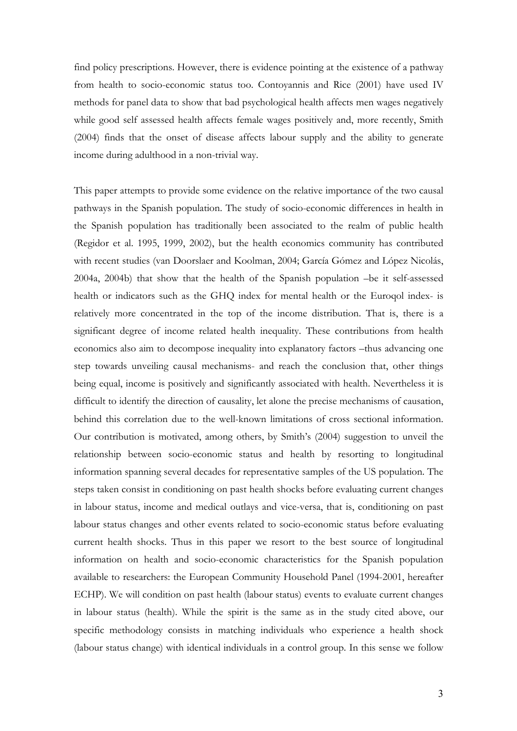find policy prescriptions. However, there is evidence pointing at the existence of a pathway from health to socio-economic status too. Contoyannis and Rice (2001) have used IV methods for panel data to show that bad psychological health affects men wages negatively while good self assessed health affects female wages positively and, more recently, Smith (2004) finds that the onset of disease affects labour supply and the ability to generate income during adulthood in a non-trivial way.

This paper attempts to provide some evidence on the relative importance of the two causal pathways in the Spanish population. The study of socio-economic differences in health in the Spanish population has traditionally been associated to the realm of public health (Regidor et al. 1995, 1999, 2002), but the health economics community has contributed with recent studies (van Doorslaer and Koolman, 2004; García Gómez and López Nicolás, 2004a, 2004b) that show that the health of the Spanish population –be it self-assessed health or indicators such as the GHQ index for mental health or the Euroqol index- is relatively more concentrated in the top of the income distribution. That is, there is a significant degree of income related health inequality. These contributions from health economics also aim to decompose inequality into explanatory factors –thus advancing one step towards unveiling causal mechanisms- and reach the conclusion that, other things being equal, income is positively and significantly associated with health. Nevertheless it is difficult to identify the direction of causality, let alone the precise mechanisms of causation, behind this correlation due to the well-known limitations of cross sectional information. Our contribution is motivated, among others, by Smith's (2004) suggestion to unveil the relationship between socio-economic status and health by resorting to longitudinal information spanning several decades for representative samples of the US population. The steps taken consist in conditioning on past health shocks before evaluating current changes in labour status, income and medical outlays and vice-versa, that is, conditioning on past labour status changes and other events related to socio-economic status before evaluating current health shocks. Thus in this paper we resort to the best source of longitudinal information on health and socio-economic characteristics for the Spanish population available to researchers: the European Community Household Panel (1994-2001, hereafter ECHP). We will condition on past health (labour status) events to evaluate current changes in labour status (health). While the spirit is the same as in the study cited above, our specific methodology consists in matching individuals who experience a health shock (labour status change) with identical individuals in a control group. In this sense we follow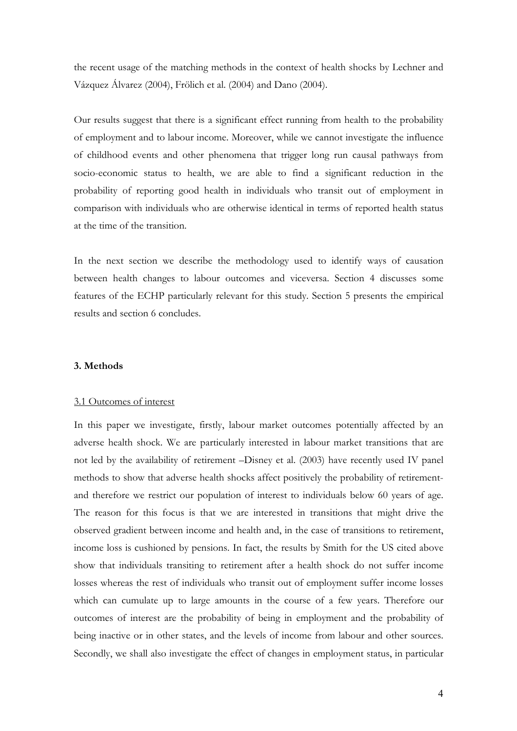the recent usage of the matching methods in the context of health shocks by Lechner and Vázquez Álvarez (2004), Frölich et al. (2004) and Dano (2004).

Our results suggest that there is a significant effect running from health to the probability of employment and to labour income. Moreover, while we cannot investigate the influence of childhood events and other phenomena that trigger long run causal pathways from socio-economic status to health, we are able to find a significant reduction in the probability of reporting good health in individuals who transit out of employment in comparison with individuals who are otherwise identical in terms of reported health status at the time of the transition.

In the next section we describe the methodology used to identify ways of causation between health changes to labour outcomes and viceversa. Section 4 discusses some features of the ECHP particularly relevant for this study. Section 5 presents the empirical results and section 6 concludes.

#### **3. Methods**

#### 3.1 Outcomes of interest

In this paper we investigate, firstly, labour market outcomes potentially affected by an adverse health shock. We are particularly interested in labour market transitions that are not led by the availability of retirement –Disney et al. (2003) have recently used IV panel methods to show that adverse health shocks affect positively the probability of retirementand therefore we restrict our population of interest to individuals below 60 years of age. The reason for this focus is that we are interested in transitions that might drive the observed gradient between income and health and, in the case of transitions to retirement, income loss is cushioned by pensions. In fact, the results by Smith for the US cited above show that individuals transiting to retirement after a health shock do not suffer income losses whereas the rest of individuals who transit out of employment suffer income losses which can cumulate up to large amounts in the course of a few years. Therefore our outcomes of interest are the probability of being in employment and the probability of being inactive or in other states, and the levels of income from labour and other sources. Secondly, we shall also investigate the effect of changes in employment status, in particular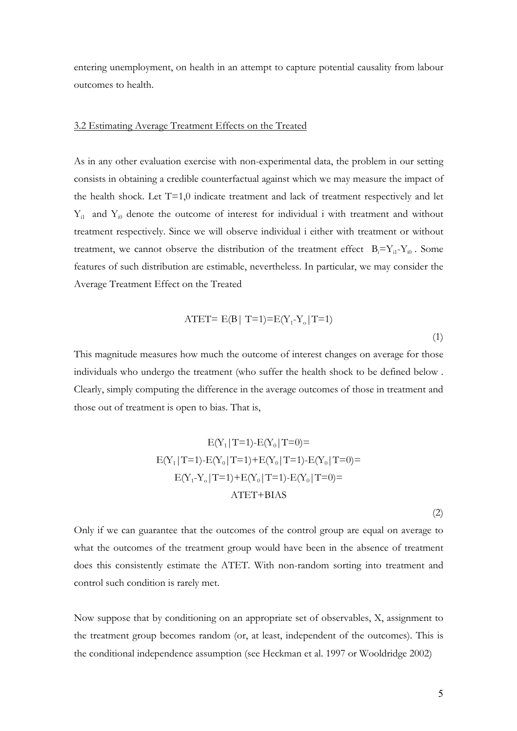entering unemployment, on health in an attempt to capture potential causality from labour outcomes to health.

#### 3.2 Estimating Average Treatment Effects on the Treated

As in any other evaluation exercise with non-experimental data, the problem in our setting consists in obtaining a credible counterfactual against which we may measure the impact of the health shock. Let T=1,0 indicate treatment and lack of treatment respectively and let  $Y_{i1}$  and  $Y_{i0}$  denote the outcome of interest for individual i with treatment and without treatment respectively. Since we will observe individual i either with treatment or without treatment, we cannot observe the distribution of the treatment effect  $B_i = Y_{i1} - Y_{i0}$ . Some features of such distribution are estimable, nevertheless. In particular, we may consider the Average Treatment Effect on the Treated

$$
ATET = E(B | T=1) = E(Y_1 - Y_0 | T=1)
$$
\n(1)

This magnitude measures how much the outcome of interest changes on average for those individuals who undergo the treatment (who suffer the health shock to be defined below . Clearly, simply computing the difference in the average outcomes of those in treatment and those out of treatment is open to bias. That is,

$$
E(Y_1 | T=1) - E(Y_0 | T=0) =
$$
  
\n
$$
E(Y_1 | T=1) - E(Y_0 | T=1) + E(Y_0 | T=1) - E(Y_0 | T=0) =
$$
  
\n
$$
E(Y_1 - Y_0 | T=1) + E(Y_0 | T=1) - E(Y_0 | T=0) =
$$
  
\n
$$
ATET + BIAS
$$

(2)

Only if we can guarantee that the outcomes of the control group are equal on average to what the outcomes of the treatment group would have been in the absence of treatment does this consistently estimate the ATET. With non-random sorting into treatment and control such condition is rarely met.

Now suppose that by conditioning on an appropriate set of observables, X, assignment to the treatment group becomes random (or, at least, independent of the outcomes). This is the conditional independence assumption (see Heckman et al. 1997 or Wooldridge 2002)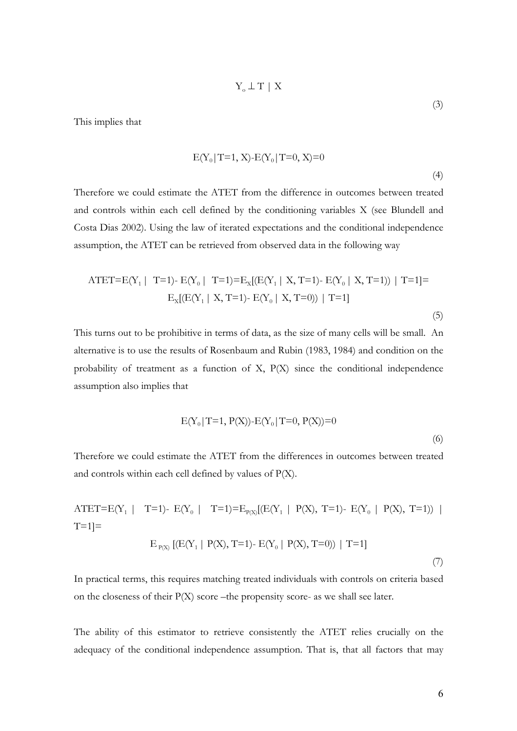$$
Y_\mathrm{o} \perp T \, \mid \, X
$$

This implies that

$$
E(Y_0 | T=1, X) - E(Y_0 | T=0, X)=0
$$
\n(4)

Therefore we could estimate the ATET from the difference in outcomes between treated and controls within each cell defined by the conditioning variables X (see Blundell and Costa Dias 2002). Using the law of iterated expectations and the conditional independence assumption, the ATET can be retrieved from observed data in the following way

$$
\text{ATET} = E(Y_1 \mid T=1) - E(Y_0 \mid T=1) = E_X[(E(Y_1 \mid X, T=1) - E(Y_0 \mid X, T=1)) \mid T=1] = E_X[(E(Y_1 \mid X, T=1) - E(Y_0 \mid X, T=0)) \mid T=1]
$$
\n
$$
(5)
$$

This turns out to be prohibitive in terms of data, as the size of many cells will be small. An alternative is to use the results of Rosenbaum and Rubin (1983, 1984) and condition on the probability of treatment as a function of X, P(X) since the conditional independence assumption also implies that

$$
E(Y_0 | T=1, P(X)) - E(Y_0 | T=0, P(X)) = 0
$$
\n(6)

Therefore we could estimate the ATET from the differences in outcomes between treated and controls within each cell defined by values of P(X).

$$
\text{ATET} = E(Y_1 \mid T=1) - E(Y_0 \mid T=1) = E_{P(X)}[(E(Y_1 \mid P(X), T=1) - E(Y_0 \mid P(X), T=1)) \mid T=1] =
$$
\n
$$
E_{P(X)}[(E(Y_1 \mid P(X), T=1) - E(Y_0 \mid P(X), T=0)) \mid T=1]
$$
\n(7)

In practical terms, this requires matching treated individuals with controls on criteria based on the closeness of their P(X) score –the propensity score- as we shall see later.

The ability of this estimator to retrieve consistently the ATET relies crucially on the adequacy of the conditional independence assumption. That is, that all factors that may

(3)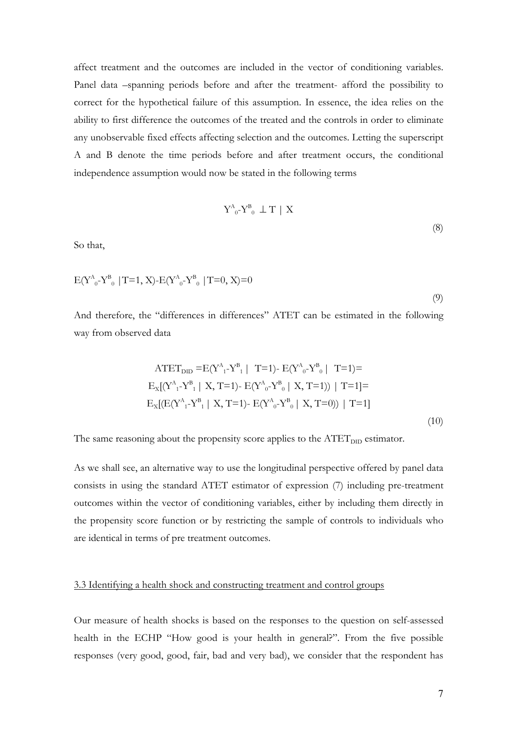affect treatment and the outcomes are included in the vector of conditioning variables. Panel data –spanning periods before and after the treatment- afford the possibility to correct for the hypothetical failure of this assumption. In essence, the idea relies on the ability to first difference the outcomes of the treated and the controls in order to eliminate any unobservable fixed effects affecting selection and the outcomes. Letting the superscript A and B denote the time periods before and after treatment occurs, the conditional independence assumption would now be stated in the following terms

$$
Y^{A}_{0} - Y^{B}_{0} \perp T \mid X \tag{8}
$$

So that,

$$
E(Y^{A}_{0} - Y^{B}_{0} | T=1, X) - E(Y^{A}_{0} - Y^{B}_{0} | T=0, X) = 0
$$
\n(9)

And therefore, the "differences in differences" ATET can be estimated in the following way from observed data

$$
\text{ATET}_{\text{DID}} = E(Y_{1}^{A} - Y_{1}^{B} | T=1) - E(Y_{0}^{A} - Y_{0}^{B} | T=1) =
$$
\n
$$
E_{X}[(Y_{1}^{A} - Y_{1}^{B} | X, T=1) - E(Y_{0}^{A} - Y_{0}^{B} | X, T=1)) | T=1] =
$$
\n
$$
E_{X}[(E(Y_{1}^{A} - Y_{1}^{B} | X, T=1) - E(Y_{0}^{A} - Y_{0}^{B} | X, T=0)) | T=1]
$$
\n(10)

The same reasoning about the propensity score applies to the  $\text{ATET}_{\text{DID}}$  estimator.

As we shall see, an alternative way to use the longitudinal perspective offered by panel data consists in using the standard ATET estimator of expression (7) including pre-treatment outcomes within the vector of conditioning variables, either by including them directly in the propensity score function or by restricting the sample of controls to individuals who are identical in terms of pre treatment outcomes.

#### 3.3 Identifying a health shock and constructing treatment and control groups

Our measure of health shocks is based on the responses to the question on self-assessed health in the ECHP "How good is your health in general?". From the five possible responses (very good, good, fair, bad and very bad), we consider that the respondent has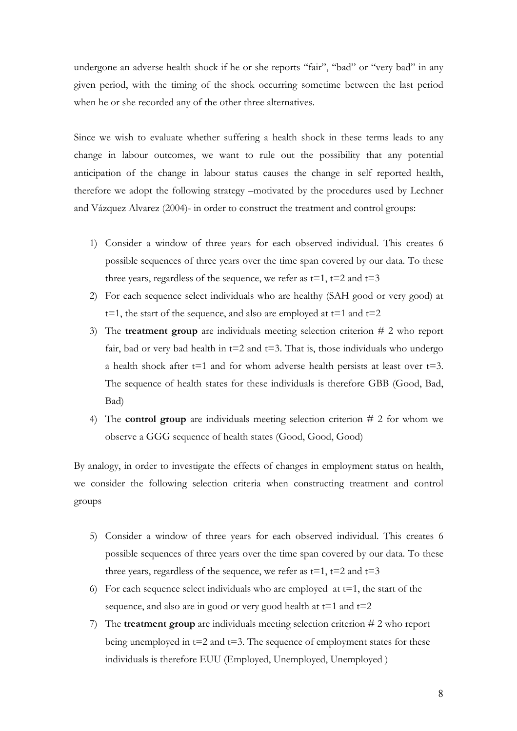undergone an adverse health shock if he or she reports "fair", "bad" or "very bad" in any given period, with the timing of the shock occurring sometime between the last period when he or she recorded any of the other three alternatives.

Since we wish to evaluate whether suffering a health shock in these terms leads to any change in labour outcomes, we want to rule out the possibility that any potential anticipation of the change in labour status causes the change in self reported health, therefore we adopt the following strategy –motivated by the procedures used by Lechner and Vázquez Alvarez (2004)- in order to construct the treatment and control groups:

- 1) Consider a window of three years for each observed individual. This creates 6 possible sequences of three years over the time span covered by our data. To these three years, regardless of the sequence, we refer as  $t=1$ ,  $t=2$  and  $t=3$
- 2) For each sequence select individuals who are healthy (SAH good or very good) at  $t=1$ , the start of the sequence, and also are employed at  $t=1$  and  $t=2$
- 3) The **treatment group** are individuals meeting selection criterion # 2 who report fair, bad or very bad health in  $t=2$  and  $t=3$ . That is, those individuals who undergo a health shock after  $t=1$  and for whom adverse health persists at least over  $t=3$ . The sequence of health states for these individuals is therefore GBB (Good, Bad, Bad)
- 4) The **control group** are individuals meeting selection criterion # 2 for whom we observe a GGG sequence of health states (Good, Good, Good)

By analogy, in order to investigate the effects of changes in employment status on health, we consider the following selection criteria when constructing treatment and control groups

- 5) Consider a window of three years for each observed individual. This creates 6 possible sequences of three years over the time span covered by our data. To these three years, regardless of the sequence, we refer as  $t=1$ ,  $t=2$  and  $t=3$
- 6) For each sequence select individuals who are employed at  $t=1$ , the start of the sequence, and also are in good or very good health at  $t=1$  and  $t=2$
- 7) The **treatment group** are individuals meeting selection criterion # 2 who report being unemployed in  $t=2$  and  $t=3$ . The sequence of employment states for these individuals is therefore EUU (Employed, Unemployed, Unemployed )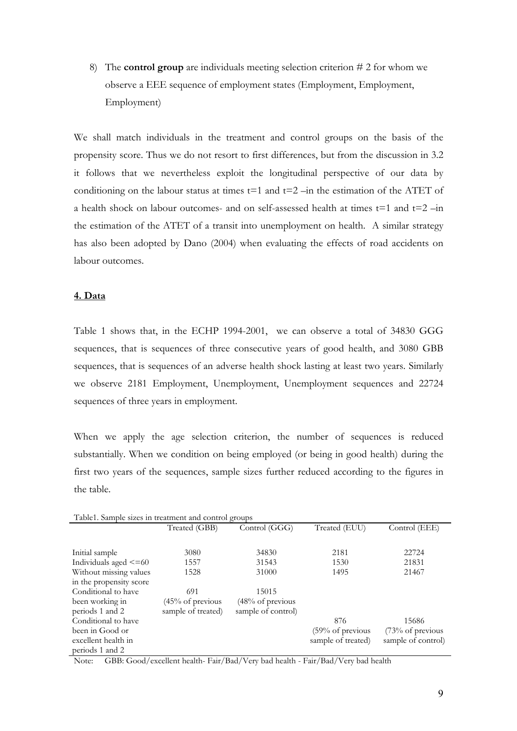8) The **control group** are individuals meeting selection criterion # 2 for whom we observe a EEE sequence of employment states (Employment, Employment, Employment)

We shall match individuals in the treatment and control groups on the basis of the propensity score. Thus we do not resort to first differences, but from the discussion in 3.2 it follows that we nevertheless exploit the longitudinal perspective of our data by conditioning on the labour status at times  $t=1$  and  $t=2$  –in the estimation of the ATET of a health shock on labour outcomes- and on self-assessed health at times  $t=1$  and  $t=2$  –in the estimation of the ATET of a transit into unemployment on health. A similar strategy has also been adopted by Dano (2004) when evaluating the effects of road accidents on labour outcomes.

## **4. Data**

Table 1 shows that, in the ECHP 1994-2001, we can observe a total of 34830 GGG sequences, that is sequences of three consecutive years of good health, and 3080 GBB sequences, that is sequences of an adverse health shock lasting at least two years. Similarly we observe 2181 Employment, Unemployment, Unemployment sequences and 22724 sequences of three years in employment.

When we apply the age selection criterion, the number of sequences is reduced substantially. When we condition on being employed (or being in good health) during the first two years of the sequences, sample sizes further reduced according to the figures in the table.

| Table1. Sample sizes in treatment and control groups |                    |                              |                    |                    |
|------------------------------------------------------|--------------------|------------------------------|--------------------|--------------------|
|                                                      | Treated (GBB)      | Control (GGG)                | Treated (EUU)      | Control (EEE)      |
|                                                      |                    |                              |                    |                    |
| Initial sample                                       | 3080               | 34830                        | 2181               | 22724              |
| Individuals aged $\leq 60$                           | 1557               | 31543                        | 1530               | 21831              |
| Without missing values                               | 1528               | 31000                        | 1495               | 21467              |
| in the propensity score                              |                    |                              |                    |                    |
| Conditional to have                                  | 691                | 15015                        |                    |                    |
| been working in                                      | $(45%$ of previous | $(48\% \text{ of previous})$ |                    |                    |
| periods 1 and 2                                      | sample of treated) | sample of control)           |                    |                    |
| Conditional to have                                  |                    |                              | 876                | 15686              |
| been in Good or                                      |                    |                              | (59% of previous   | (73% of previous   |
| excellent health in                                  |                    |                              | sample of treated) | sample of control) |
| periods 1 and 2                                      |                    |                              |                    |                    |

Note: GBB: Good/excellent health- Fair/Bad/Very bad health - Fair/Bad/Very bad health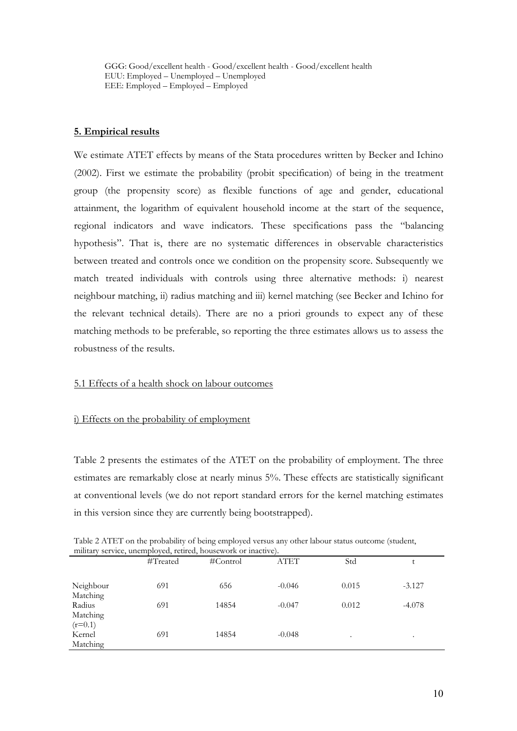GGG: Good/excellent health - Good/excellent health - Good/excellent health EUU: Employed – Unemployed – Unemployed EEE: Employed – Employed – Employed

#### **5. Empirical results**

We estimate ATET effects by means of the Stata procedures written by Becker and Ichino (2002). First we estimate the probability (probit specification) of being in the treatment group (the propensity score) as flexible functions of age and gender, educational attainment, the logarithm of equivalent household income at the start of the sequence, regional indicators and wave indicators. These specifications pass the "balancing hypothesis". That is, there are no systematic differences in observable characteristics between treated and controls once we condition on the propensity score. Subsequently we match treated individuals with controls using three alternative methods: i) nearest neighbour matching, ii) radius matching and iii) kernel matching (see Becker and Ichino for the relevant technical details). There are no a priori grounds to expect any of these matching methods to be preferable, so reporting the three estimates allows us to assess the robustness of the results.

#### 5.1 Effects of a health shock on labour outcomes

#### i) Effects on the probability of employment

Table 2 presents the estimates of the ATET on the probability of employment. The three estimates are remarkably close at nearly minus 5%. These effects are statistically significant at conventional levels (we do not report standard errors for the kernel matching estimates in this version since they are currently being bootstrapped).

| Table 2 ATET on the probability of being employed versus any other labour status outcome (student, |  |
|----------------------------------------------------------------------------------------------------|--|
| military service, unemployed, retired, housework or inactive).                                     |  |

|                       | #Treated | $\#Control$ | <b>ATET</b> | Std     |           |
|-----------------------|----------|-------------|-------------|---------|-----------|
| Neighbour             | 691      | 656         | $-0.046$    | 0.015   | $-3.127$  |
| Matching<br>Radius    | 691      | 14854       | $-0.047$    | 0.012   | $-4.078$  |
| Matching<br>$(r=0.1)$ |          |             |             |         |           |
| Kernel<br>Matching    | 691      | 14854       | $-0.048$    | $\cdot$ | $\bullet$ |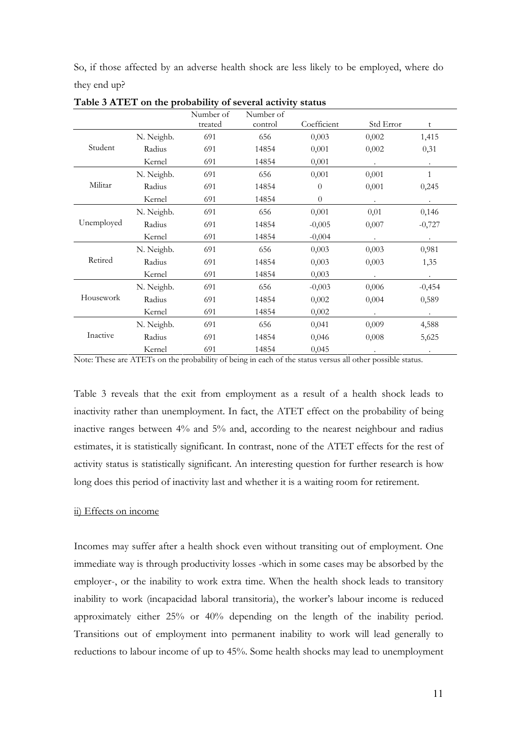So, if those affected by an adverse health shock are less likely to be employed, where do they end up?

|            |            | Number of<br>treated | Number of<br>control | Coefficient | Std Error | t              |
|------------|------------|----------------------|----------------------|-------------|-----------|----------------|
|            | N. Neighb. | 691                  | 656                  | 0,003       | 0,002     | 1,415          |
| Student    | Radius     | 691                  | 14854                | 0,001       | 0,002     | 0,31           |
|            | Kernel     | 691                  | 14854                | 0,001       | $\bullet$ | $\blacksquare$ |
|            | N. Neighb. | 691                  | 656                  | 0,001       | 0,001     | $\mathbf{1}$   |
| Militar    | Radius     | 691                  | 14854                | $\theta$    | 0,001     | 0,245          |
|            | Kernel     | 691                  | 14854                | $\theta$    |           |                |
|            | N. Neighb. | 691                  | 656                  | 0,001       | 0,01      | 0,146          |
| Unemployed | Radius     | 691                  | 14854                | $-0,005$    | 0,007     | $-0,727$       |
|            | Kernel     | 691                  | 14854                | $-0,004$    | $\bullet$ | $\bullet$      |
|            | N. Neighb. | 691                  | 656                  | 0,003       | 0,003     | 0,981          |
| Retired    | Radius     | 691                  | 14854                | 0,003       | 0,003     | 1,35           |
|            | Kernel     | 691                  | 14854                | 0,003       |           |                |
|            | N. Neighb. | 691                  | 656                  | $-0,003$    | 0,006     | $-0,454$       |
| Housework  | Radius     | 691                  | 14854                | 0,002       | 0,004     | 0,589          |
|            | Kernel     | 691                  | 14854                | 0,002       | $\bullet$ | $\bullet$      |
|            | N. Neighb. | 691                  | 656                  | 0,041       | 0,009     | 4,588          |
| Inactive   | Radius     | 691                  | 14854                | 0,046       | 0,008     | 5,625          |
|            | Kernel     | 691                  | 14854                | 0,045       |           |                |

**Table 3 ATET on the probability of several activity status** 

Note: These are ATETs on the probability of being in each of the status versus all other possible status.

Table 3 reveals that the exit from employment as a result of a health shock leads to inactivity rather than unemployment. In fact, the ATET effect on the probability of being inactive ranges between 4% and 5% and, according to the nearest neighbour and radius estimates, it is statistically significant. In contrast, none of the ATET effects for the rest of activity status is statistically significant. An interesting question for further research is how long does this period of inactivity last and whether it is a waiting room for retirement.

#### ii) Effects on income

Incomes may suffer after a health shock even without transiting out of employment. One immediate way is through productivity losses -which in some cases may be absorbed by the employer-, or the inability to work extra time. When the health shock leads to transitory inability to work (incapacidad laboral transitoria), the worker's labour income is reduced approximately either 25% or 40% depending on the length of the inability period. Transitions out of employment into permanent inability to work will lead generally to reductions to labour income of up to 45%. Some health shocks may lead to unemployment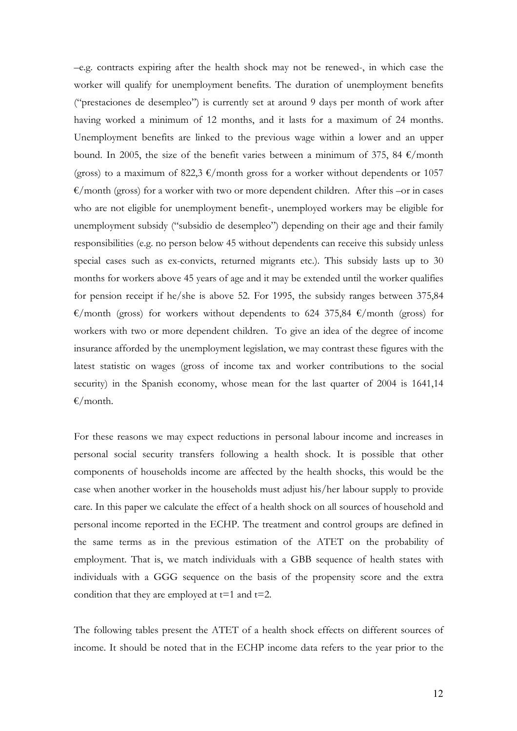–e.g. contracts expiring after the health shock may not be renewed-, in which case the worker will qualify for unemployment benefits. The duration of unemployment benefits ("prestaciones de desempleo") is currently set at around 9 days per month of work after having worked a minimum of 12 months, and it lasts for a maximum of 24 months. Unemployment benefits are linked to the previous wage within a lower and an upper bound. In 2005, the size of the benefit varies between a minimum of 375, 84  $\epsilon$ /month (gross) to a maximum of 822,3  $\epsilon$ /month gross for a worker without dependents or 1057  $\epsilon$ /month (gross) for a worker with two or more dependent children. After this –or in cases who are not eligible for unemployment benefit-, unemployed workers may be eligible for unemployment subsidy ("subsidio de desempleo") depending on their age and their family responsibilities (e.g. no person below 45 without dependents can receive this subsidy unless special cases such as ex-convicts, returned migrants etc.). This subsidy lasts up to 30 months for workers above 45 years of age and it may be extended until the worker qualifies for pension receipt if he/she is above 52. For 1995, the subsidy ranges between 375,84  $\epsilon$ /month (gross) for workers without dependents to 624 375,84  $\epsilon$ /month (gross) for workers with two or more dependent children. To give an idea of the degree of income insurance afforded by the unemployment legislation, we may contrast these figures with the latest statistic on wages (gross of income tax and worker contributions to the social security) in the Spanish economy, whose mean for the last quarter of 2004 is 1641,14  $\epsilon$ /month.

For these reasons we may expect reductions in personal labour income and increases in personal social security transfers following a health shock. It is possible that other components of households income are affected by the health shocks, this would be the case when another worker in the households must adjust his/her labour supply to provide care. In this paper we calculate the effect of a health shock on all sources of household and personal income reported in the ECHP. The treatment and control groups are defined in the same terms as in the previous estimation of the ATET on the probability of employment. That is, we match individuals with a GBB sequence of health states with individuals with a GGG sequence on the basis of the propensity score and the extra condition that they are employed at  $t=1$  and  $t=2$ .

The following tables present the ATET of a health shock effects on different sources of income. It should be noted that in the ECHP income data refers to the year prior to the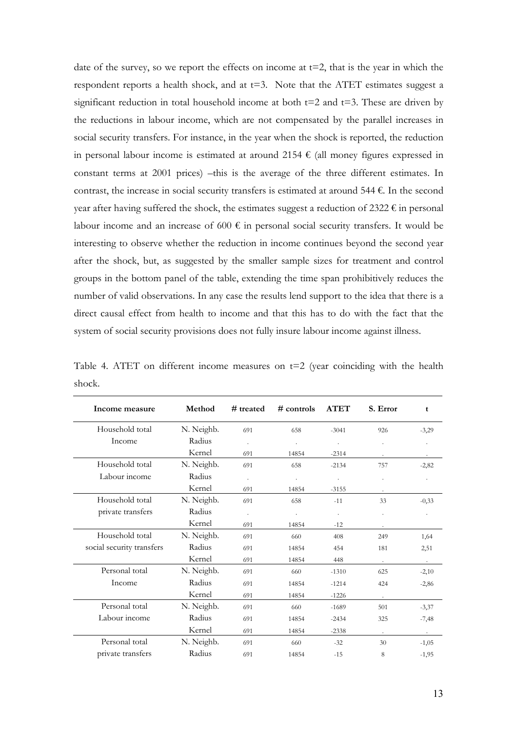date of the survey, so we report the effects on income at  $t=2$ , that is the year in which the respondent reports a health shock, and at  $t=3$ . Note that the ATET estimates suggest a significant reduction in total household income at both  $t=2$  and  $t=3$ . These are driven by the reductions in labour income, which are not compensated by the parallel increases in social security transfers. For instance, in the year when the shock is reported, the reduction in personal labour income is estimated at around 2154  $\epsilon$  (all money figures expressed in constant terms at 2001 prices) –this is the average of the three different estimates. In contrast, the increase in social security transfers is estimated at around 544  $\epsilon$ . In the second year after having suffered the shock, the estimates suggest a reduction of 2322  $\epsilon$  in personal labour income and an increase of 600  $\epsilon$  in personal social security transfers. It would be interesting to observe whether the reduction in income continues beyond the second year after the shock, but, as suggested by the smaller sample sizes for treatment and control groups in the bottom panel of the table, extending the time span prohibitively reduces the number of valid observations. In any case the results lend support to the idea that there is a direct causal effect from health to income and that this has to do with the fact that the system of social security provisions does not fully insure labour income against illness.

|                                                                                      |  |  |  | $M_{\rm{radial}}$ $\rightarrow$ $H_{\rm{dustal}}$ $\rightarrow$ $H_{\rm{dustal}}$ $\rightarrow$ $\Lambda$ $\rm{TPT}$ $\rightarrow$ $\Gamma$ $\rm{F_{\rm{dustal}}}$ $\rightarrow$ $\rightarrow$ |  |  |
|--------------------------------------------------------------------------------------|--|--|--|------------------------------------------------------------------------------------------------------------------------------------------------------------------------------------------------|--|--|
| shock.                                                                               |  |  |  |                                                                                                                                                                                                |  |  |
| Table 4. ATET on different income measures on $t=2$ (year coinciding with the health |  |  |  |                                                                                                                                                                                                |  |  |

| Income measure            | Method     | # treated            | $#$ controls | <b>ATET</b>    | S. Error | t       |
|---------------------------|------------|----------------------|--------------|----------------|----------|---------|
| Household total           | N. Neighb. | 691                  | 658          | $-3041$        | 926      | $-3,29$ |
| Income                    | Radius     | $\ddot{\phantom{1}}$ |              |                |          |         |
|                           | Kernel     | 691                  | 14854        | $-2314$        |          | $\sim$  |
| Household total           | N. Neighb. | 691                  | 658          | $-2134$        | 757      | $-2,82$ |
| Labour income             | Radius     | ä,                   | $\bullet$    | $\epsilon$     |          |         |
|                           | Kernel     | 691                  | 14854        | $-3155$        |          |         |
| Household total           | N. Neighb. | 691                  | 658          | $-11$          | 33       | $-0,33$ |
| private transfers         | Radius     | ÷.                   | ä,           | $\blacksquare$ |          |         |
|                           | Kernel     | 691                  | 14854        | $-12$          |          |         |
| Household total           | N. Neighb. | 691                  | 660          | 408            | 249      | 1,64    |
| social security transfers | Radius     | 691                  | 14854        | 454            | 181      | 2,51    |
|                           | Kernel     | 691                  | 14854        | 448            | $\sim$   | $\sim$  |
| Personal total            | N. Neighb. | 691                  | 660          | $-1310$        | 625      | $-2,10$ |
| Income                    | Radius     | 691                  | 14854        | $-1214$        | 424      | $-2,86$ |
|                           | Kernel     | 691                  | 14854        | $-1226$        |          |         |
| Personal total            | N. Neighb. | 691                  | 660          | $-1689$        | 501      | $-3,37$ |
| Labour income             | Radius     | 691                  | 14854        | $-2434$        | 325      | $-7,48$ |
|                           | Kernel     | 691                  | 14854        | $-2338$        |          |         |
| Personal total            | N. Neighb. | 691                  | 660          | $-32$          | 30       | $-1,05$ |
| private transfers         | Radius     | 691                  | 14854        | $-15$          | 8        | $-1,95$ |

13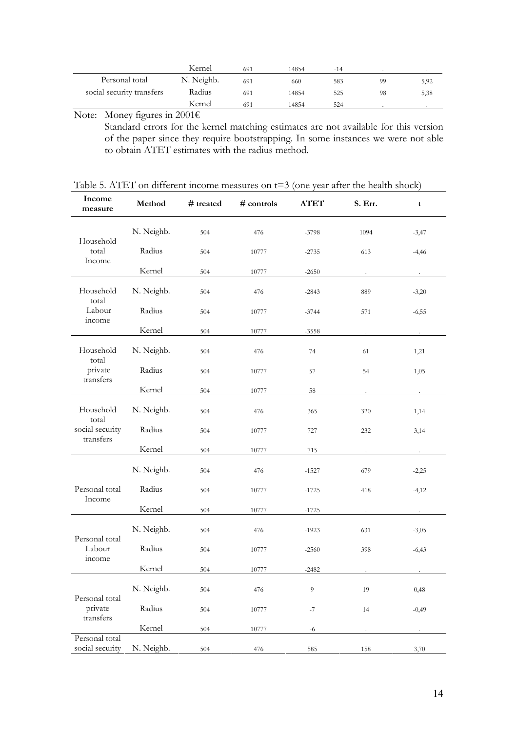|                           | Kernel     | 691 | 14854 | -14 |    |      |
|---------------------------|------------|-----|-------|-----|----|------|
| Personal total            | N. Neighb. | 691 | 660   | 583 | 99 | 5,92 |
| social security transfers | Radius     | 691 | 14854 | 525 | 98 | 5,38 |
|                           | Kernel     | 691 | 14854 | 524 |    |      |

Note: Money figures in 2001€

Standard errors for the kernel matching estimates are not available for this version of the paper since they require bootstrapping. In some instances we were not able to obtain ATET estimates with the radius method.

## Table 5. ATET on different income measures on t=3 (one year after the health shock)

| Income<br>measure                 | Method     | # treated | # controls | <b>ATET</b>    | S. Err. | t            |
|-----------------------------------|------------|-----------|------------|----------------|---------|--------------|
|                                   | N. Neighb. | 504       | 476        | $-3798$        | 1094    | $-3,47$      |
| Household<br>total<br>Income      | Radius     | 504       | 10777      | $-2735$        | 613     | $-4,46$      |
|                                   | Kernel     | 504       | 10777      | $-2650$        |         |              |
| Household<br>total                | N. Neighb. | 504       | 476        | $-2843$        | 889     | $-3,20$      |
| Labour<br>income                  | Radius     | 504       | 10777      | $-3744$        | 571     | $-6,55$      |
|                                   | Kernel     | 504       | 10777      | $-3558$        |         |              |
| Household<br>total                | N. Neighb. | 504       | 476        | 74             | 61      | 1,21         |
| private                           | Radius     | 504       | 10777      | 57             | 54      | 1,05         |
| transfers                         | Kernel     | 504       | 10777      | 58             |         |              |
| Household<br>total                | N. Neighb. | 504       | 476        | 365            | 320     | 1,14         |
| social security<br>transfers      | Radius     | 504       | 10777      | 727            | 232     | 3,14         |
|                                   | Kernel     | 504       | 10777      | 715            |         | $\mathbf{r}$ |
|                                   | N. Neighb. | 504       | 476        | $-1527$        | 679     | $-2,25$      |
| Personal total                    | Radius     | 504       | 10777      | $-1725$        | 418     | $-4,12$      |
| Income                            | Kernel     | 504       | 10777      | $-1725$        |         |              |
| Personal total                    | N. Neighb. | 504       | 476        | $-1923$        | 631     | $-3,05$      |
| Labour<br>income                  | Radius     | 504       | 10777      | $-2560$        | 398     | $-6,43$      |
|                                   | Kernel     | 504       | 10777      | $-2482$        |         |              |
| Personal total                    | N. Neighb. | 504       | 476        | $\overline{9}$ | 19      | 0,48         |
| private<br>transfers              | Radius     | 504       | 10777      | $-7$           | 14      | $-0,49$      |
|                                   | Kernel     | 504       | 10777      | -6             |         |              |
| Personal total<br>social security | N. Neighb. | 504       | 476        | 585            | 158     | 3,70         |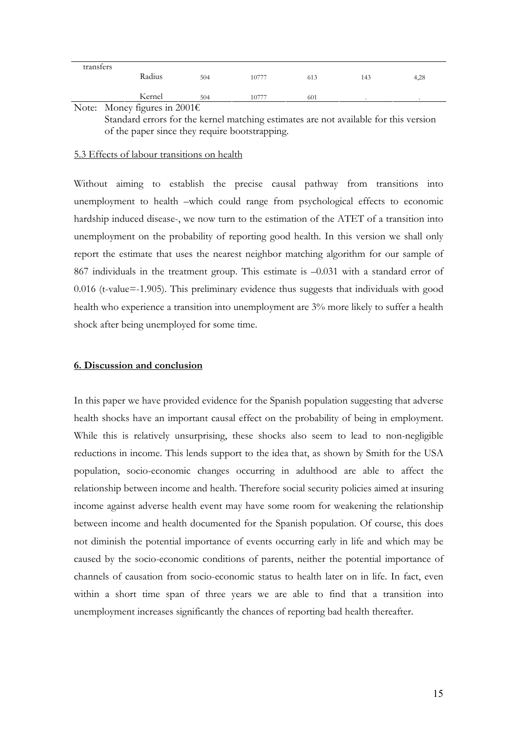| transfers |                                        |     |       |     |     |      |
|-----------|----------------------------------------|-----|-------|-----|-----|------|
|           | Radius                                 | 504 | 10777 | 613 | 143 | 4,28 |
|           |                                        |     |       |     |     |      |
|           | Kernel                                 | 504 | 10777 | 601 |     |      |
|           | Note: Money figures in 2001 $\epsilon$ |     |       |     |     |      |

Standard errors for the kernel matching estimates are not available for this version of the paper since they require bootstrapping.

#### 5.3 Effects of labour transitions on health

Without aiming to establish the precise causal pathway from transitions into unemployment to health –which could range from psychological effects to economic hardship induced disease-, we now turn to the estimation of the ATET of a transition into unemployment on the probability of reporting good health. In this version we shall only report the estimate that uses the nearest neighbor matching algorithm for our sample of 867 individuals in the treatment group. This estimate is –0.031 with a standard error of 0.016 (t-value=-1.905). This preliminary evidence thus suggests that individuals with good health who experience a transition into unemployment are 3% more likely to suffer a health shock after being unemployed for some time.

#### **6. Discussion and conclusion**

In this paper we have provided evidence for the Spanish population suggesting that adverse health shocks have an important causal effect on the probability of being in employment. While this is relatively unsurprising, these shocks also seem to lead to non-negligible reductions in income. This lends support to the idea that, as shown by Smith for the USA population, socio-economic changes occurring in adulthood are able to affect the relationship between income and health. Therefore social security policies aimed at insuring income against adverse health event may have some room for weakening the relationship between income and health documented for the Spanish population. Of course, this does not diminish the potential importance of events occurring early in life and which may be caused by the socio-economic conditions of parents, neither the potential importance of channels of causation from socio-economic status to health later on in life. In fact, even within a short time span of three years we are able to find that a transition into unemployment increases significantly the chances of reporting bad health thereafter.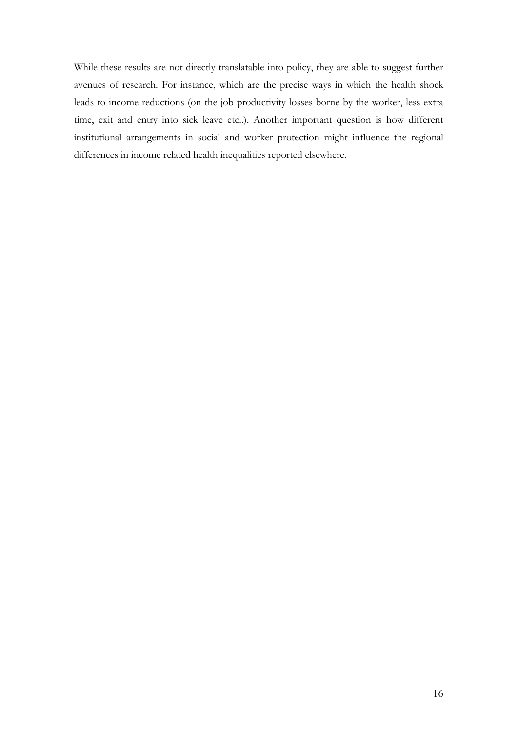While these results are not directly translatable into policy, they are able to suggest further avenues of research. For instance, which are the precise ways in which the health shock leads to income reductions (on the job productivity losses borne by the worker, less extra time, exit and entry into sick leave etc..). Another important question is how different institutional arrangements in social and worker protection might influence the regional differences in income related health inequalities reported elsewhere.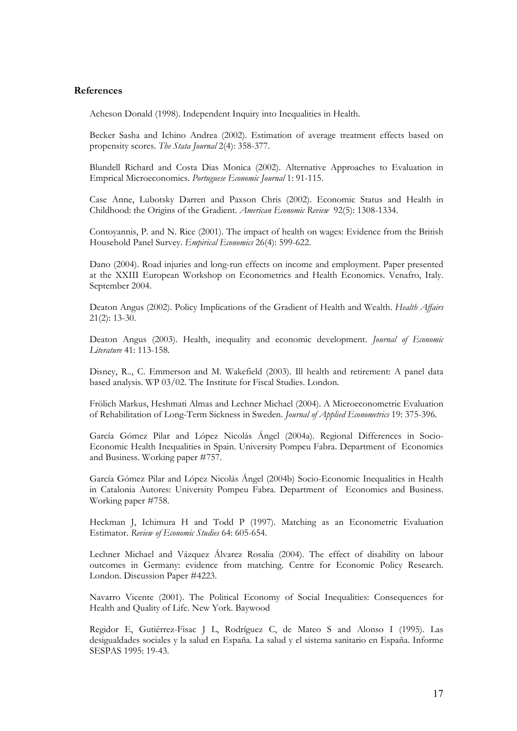#### **References**

Acheson Donald (1998). Independent Inquiry into Inequalities in Health.

Becker Sasha and Ichino Andrea (2002). Estimation of average treatment effects based on propensity scores. *The Stata Journal* 2(4): 358-377.

Blundell Richard and Costa Dias Monica (2002). Alternative Approaches to Evaluation in Emprical Microeconomics. *Portuguese Economic Journal* 1: 91-115.

Case Anne, Lubotsky Darren and Paxson Chris (2002). Economic Status and Health in Childhood: the Origins of the Gradient. *American Economic Review* 92(5): 1308-1334.

Contoyannis, P. and N. Rice (2001). The impact of health on wages: Evidence from the British Household Panel Survey. *Empirical Economics* 26(4): 599-622.

Dano (2004). Road injuries and long-run effects on income and employment. Paper presented at the XXIII European Workshop on Econometrics and Health Economics. Venafro, Italy. September 2004.

Deaton Angus (2002). Policy Implications of the Gradient of Health and Wealth. *Health Affairs*  21(2): 13-30.

Deaton Angus (2003). Health, inequality and economic development. *Journal of Economic Literature* 41: 113-158.

Disney, R.., C. Emmerson and M. Wakefield (2003). Ill health and retirement: A panel data based analysis. WP 03/02. The Institute for Fiscal Studies. London.

Frölich Markus, Heshmati Almas and Lechner Michael (2004). A Microeconometric Evaluation of Rehabilitation of Long-Term Sickness in Sweden. *Journal of Applied Econometrics* 19: 375-396.

García Gómez Pilar and López Nicolás Ángel (2004a). Regional Differences in Socio-Economic Health Inequalities in Spain. University Pompeu Fabra. Department of Economics and Business. Working paper #757.

García Gómez Pilar and López Nicolás Ángel (2004b) Socio-Economic Inequalities in Health in Catalonia Autores: University Pompeu Fabra. Department of Economics and Business. Working paper #758.

Heckman J, Ichimura H and Todd P (1997). Matching as an Econometric Evaluation Estimator. *Review of Economic Studies* 64: 605-654.

Lechner Michael and Vázquez Álvarez Rosalia (2004). The effect of disability on labour outcomes in Germany: evidence from matching. Centre for Economic Policy Research. London. Discussion Paper #4223.

Navarro Vicente (2001). The Political Economy of Social Inequalities: Consequences for Health and Quality of Life. New York. Baywood

Regidor E, Gutiérrez-Fisac J L, Rodríguez C, de Mateo S and Alonso I (1995). Las desigualdades sociales y la salud en España. La salud y el sistema sanitario en España. Informe SESPAS 1995: 19-43.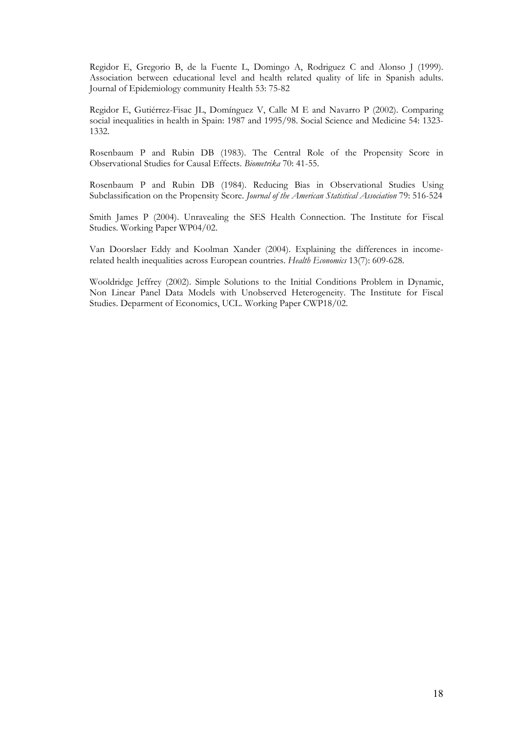Regidor E, Gregorio B, de la Fuente L, Domingo A, Rodriguez C and Alonso J (1999). Association between educational level and health related quality of life in Spanish adults. Journal of Epidemiology community Health 53: 75-82

Regidor E, Gutiérrez-Fisac JL, Domínguez V, Calle M E and Navarro P (2002). Comparing social inequalities in health in Spain: 1987 and 1995/98. Social Science and Medicine 54: 1323- 1332.

Rosenbaum P and Rubin DB (1983). The Central Role of the Propensity Score in Observational Studies for Causal Effects. *Biometrika* 70: 41-55.

Rosenbaum P and Rubin DB (1984). Reducing Bias in Observational Studies Using Subclassification on the Propensity Score. *Journal of the American Statistical Association* 79: 516-524

Smith James P (2004). Unravealing the SES Health Connection. The Institute for Fiscal Studies. Working Paper WP04/02.

Van Doorslaer Eddy and Koolman Xander (2004). Explaining the differences in incomerelated health inequalities across European countries. *Health Economics* 13(7): 609-628.

Wooldridge Jeffrey (2002). Simple Solutions to the Initial Conditions Problem in Dynamic, Non Linear Panel Data Models with Unobserved Heterogeneity. The Institute for Fiscal Studies. Deparment of Economics, UCL. Working Paper CWP18/02.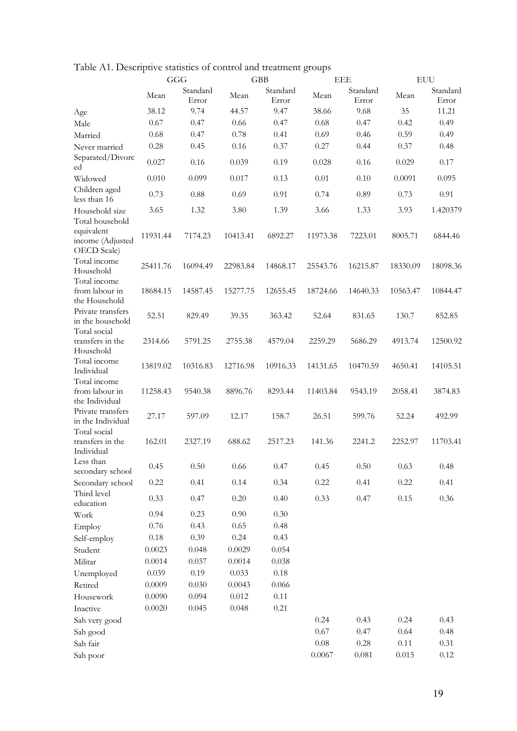|                                                       | GGG      |                   | <b>GBB</b> |                   |          | <b>EEE</b>        | <b>EUU</b> |                   |
|-------------------------------------------------------|----------|-------------------|------------|-------------------|----------|-------------------|------------|-------------------|
|                                                       | Mean     | Standard<br>Error | Mean       | Standard<br>Error | Mean     | Standard<br>Error | Mean       | Standard<br>Error |
| Age                                                   | 38.12    | 9.74              | 44.57      | 9.47              | 38.66    | 9.68              | 35         | 11.21             |
| Male                                                  | 0.67     | 0.47              | 0.66       | 0.47              | 0.68     | 0.47              | 0.42       | 0.49              |
| Married                                               | 0.68     | 0.47              | 0.78       | 0.41              | 0.69     | 0.46              | 0.59       | 0.49              |
| Never married                                         | 0.28     | 0.45              | 0.16       | 0.37              | 0.27     | 0.44              | 0.37       | 0.48              |
| Separated/Divorc<br>ed                                | 0.027    | 0.16              | 0.039      | 0.19              | 0.028    | 0.16              | 0.029      | 0.17              |
| Widowed                                               | 0.010    | 0.099             | 0.017      | 0.13              | 0.01     | 0.10              | 0.0091     | 0.095             |
| Children aged<br>less than 16                         | 0.73     | 0.88              | 0.69       | 0.91              | 0.74     | 0.89              | 0.73       | 0.91              |
| Household size<br>Total household                     | 3.65     | 1.32              | 3.80       | 1.39              | 3.66     | 1.33              | 3.93       | 1.420379          |
| equivalent<br>income (Adjusted<br>OECD Scale)         | 11931.44 | 7174.23           | 10413.41   | 6892.27           | 11973.38 | 7223.01           | 8005.71    | 6844.46           |
| Total income<br>Household<br>Total income             | 25411.76 | 16094.49          | 22983.84   | 14868.17          | 25543.76 | 16215.87          | 18330.09   | 18098.36          |
| from labour in<br>the Household                       | 18684.15 | 14587.45          | 15277.75   | 12655.45          | 18724.66 | 14640.33          | 10563.47   | 10844.47          |
| Private transfers<br>in the household<br>Total social | 52.51    | 829.49            | 39.35      | 363.42            | 52.64    | 831.65            | 130.7      | 852.85            |
| transfers in the<br>Household                         | 2314.66  | 5791.25           | 2755.38    | 4579.04           | 2259.29  | 5686.29           | 4913.74    | 12500.92          |
| Total income<br>Individual                            | 13819.02 | 10316.83          | 12716.98   | 10916.33          | 14131.65 | 10470.59          | 4650.41    | 14105.51          |
| Total income<br>from labour in<br>the Individual      | 11258.43 | 9540.38           | 8896.76    | 8293.44           | 11403.84 | 9543.19           | 2058.41    | 3874.83           |
| Private transfers<br>in the Individual                | 27.17    | 597.09            | 12.17      | 158.7             | 26.51    | 599.76            | 52.24      | 492.99            |
| Total social<br>transfers in the<br>Individual        | 162.01   | 2327.19           | 688.62     | 2517.23           | 141.36   | 2241.2            | 2252.97    | 11703.41          |
| Less than<br>secondary school                         | 0.45     | $0.50\,$          | 0.66       | 0.47              | 0.45     | $0.50\,$          | 0.63       | 0.48              |
| Secondary school                                      | 0.22     | 0.41              | 0.14       | 0.34              | 0.22     | 0.41              | 0.22       | 0.41              |
| Third level<br>education                              | 0.33     | 0.47              | 0.20       | 0.40              | 0.33     | 0.47              | 0.15       | 0.36              |
| Work                                                  | 0.94     | 0.23              | 0.90       | 0.30              |          |                   |            |                   |
| Employ                                                | 0.76     | 0.43              | 0.65       | 0.48              |          |                   |            |                   |
| Self-employ                                           | $0.18\,$ | 0.39              | 0.24       | 0.43              |          |                   |            |                   |
| Student                                               | 0.0023   | 0.048             | 0.0029     | 0.054             |          |                   |            |                   |
| Militar                                               | 0.0014   | 0.037             | 0.0014     | 0.038             |          |                   |            |                   |
| Unemployed                                            | 0.039    | 0.19              | 0.033      | $0.18\,$          |          |                   |            |                   |
| Retired                                               | 0.0009   | 0.030             | 0.0043     | 0.066             |          |                   |            |                   |
| Housework                                             | 0.0090   | 0.094             | 0.012      | 0.11              |          |                   |            |                   |
| Inactive                                              | 0.0020   | 0.045             | 0.048      | 0.21              |          |                   |            |                   |
| Sah very good                                         |          |                   |            |                   | 0.24     | 0.43              | 0.24       | 0.43              |
| Sah good                                              |          |                   |            |                   | 0.67     | 0.47              | 0.64       | 0.48              |
| Sah fair                                              |          |                   |            |                   | $0.08\,$ | $0.28\,$          | 0.11       | 0.31              |
| Sah poor                                              |          |                   |            |                   | 0.0067   | $0.081\,$         | 0.015      | 0.12              |

Table A1. Descriptive statistics of control and treatment groups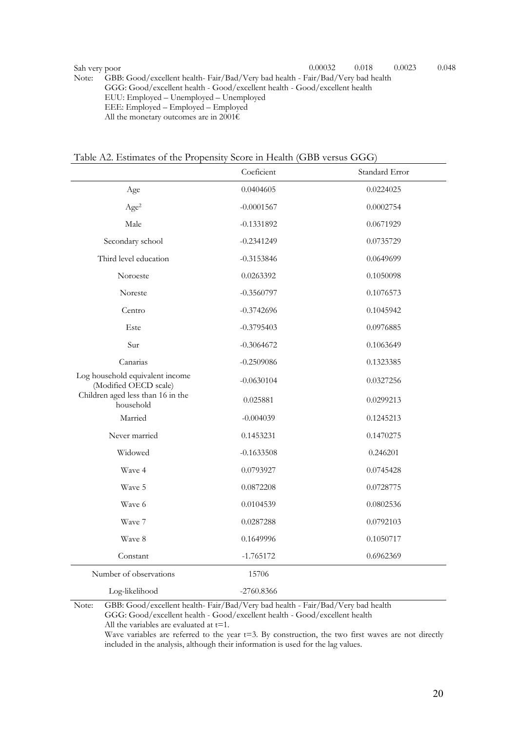Note: GBB: Good/excellent health- Fair/Bad/Very bad health - Fair/Bad/Very bad health GGG: Good/excellent health - Good/excellent health - Good/excellent health EUU: Employed – Unemployed – Unemployed EEE: Employed – Employed – Employed All the monetary outcomes are in 2001 $\epsilon$ 

| Table A2. Estimates of the Propensity Score in Health (GBB versus GGG) |
|------------------------------------------------------------------------|
|------------------------------------------------------------------------|

|                                                          | Coeficient   | Standard Error |
|----------------------------------------------------------|--------------|----------------|
| Age                                                      | 0.0404605    | 0.0224025      |
| Age <sup>2</sup>                                         | $-0.0001567$ | 0.0002754      |
| Male                                                     | $-0.1331892$ | 0.0671929      |
| Secondary school                                         | $-0.2341249$ | 0.0735729      |
| Third level education                                    | $-0.3153846$ | 0.0649699      |
| Noroeste                                                 | 0.0263392    | 0.1050098      |
| Noreste                                                  | $-0.3560797$ | 0.1076573      |
| Centro                                                   | $-0.3742696$ | 0.1045942      |
| Este                                                     | $-0.3795403$ | 0.0976885      |
| Sur                                                      | $-0.3064672$ | 0.1063649      |
| Canarias                                                 | $-0.2509086$ | 0.1323385      |
| Log household equivalent income<br>(Modified OECD scale) | $-0.0630104$ | 0.0327256      |
| Children aged less than 16 in the<br>household           | 0.025881     | 0.0299213      |
| Married                                                  | $-0.004039$  | 0.1245213      |
| Never married                                            | 0.1453231    | 0.1470275      |
| Widowed                                                  | $-0.1633508$ | 0.246201       |
| Waye 4                                                   | 0.0793927    | 0.0745428      |
| Wave 5                                                   | 0.0872208    | 0.0728775      |
| Wave 6                                                   | 0.0104539    | 0.0802536      |
| Wave 7                                                   | 0.0287288    | 0.0792103      |
| Wave 8                                                   | 0.1649996    | 0.1050717      |
| Constant                                                 | $-1.765172$  | 0.6962369      |
| Number of observations                                   | 15706        |                |
| Log-likelihood                                           | $-2760.8366$ |                |

Note: GBB: Good/excellent health- Fair/Bad/Very bad health - Fair/Bad/Very bad health

GGG: Good/excellent health - Good/excellent health - Good/excellent health

All the variables are evaluated at  $t=1$ .

Wave variables are referred to the year t=3. By construction, the two first waves are not directly included in the analysis, although their information is used for the lag values.